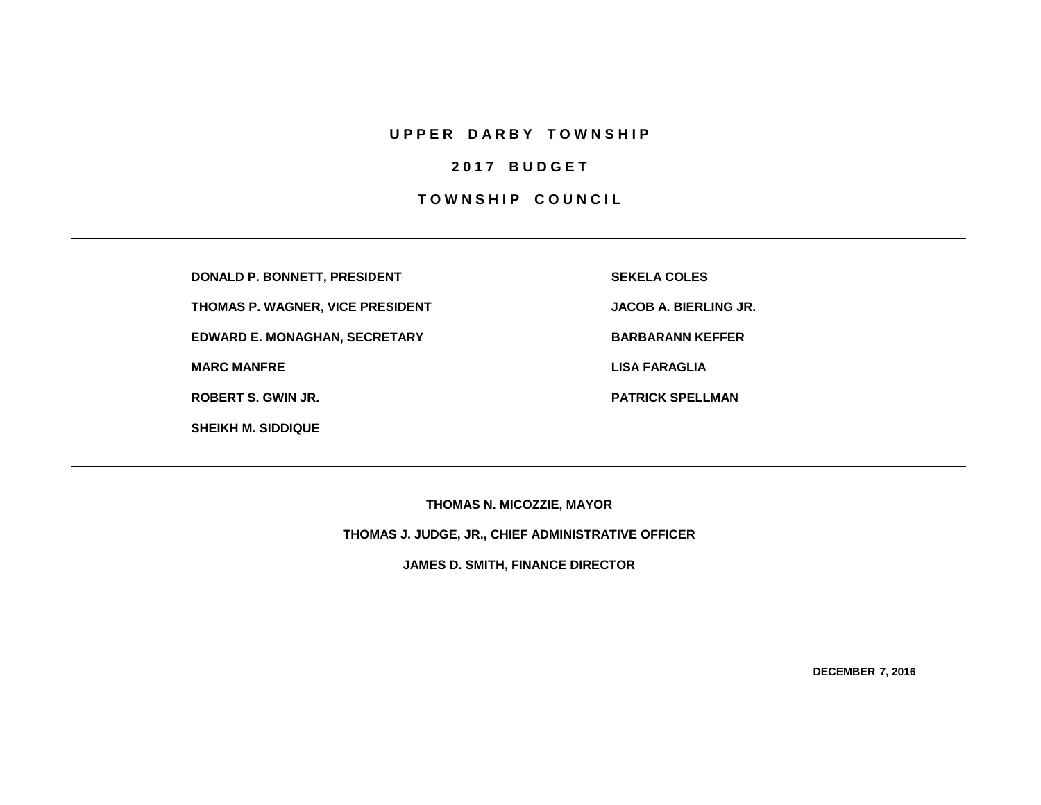## **U P P E R D A R B Y T O W N S H I P**

## **2 0 1 7 B U D G E T**

## **TOWNSHIP COUNCIL**

**DONALD P. BONNETT, PRESIDENT SEKELA COLES**

**THOMAS P. WAGNER, VICE PRESIDENT JACOB A. BIERLING JR.**

**EDWARD E. MONAGHAN, SECRETARY BARBARANN KEFFER** 

**SHEIKH M. SIDDIQUE**

**MARC MANFRE LISA FARAGLIA**

**ROBERT S. GWIN JR. PATRICK SPELLMAN**

**THOMAS N. MICOZZIE, MAYOR**

**THOMAS J. JUDGE, JR., CHIEF ADMINISTRATIVE OFFICER**

**JAMES D. SMITH, FINANCE DIRECTOR**

**DECEMBER 7, 2016**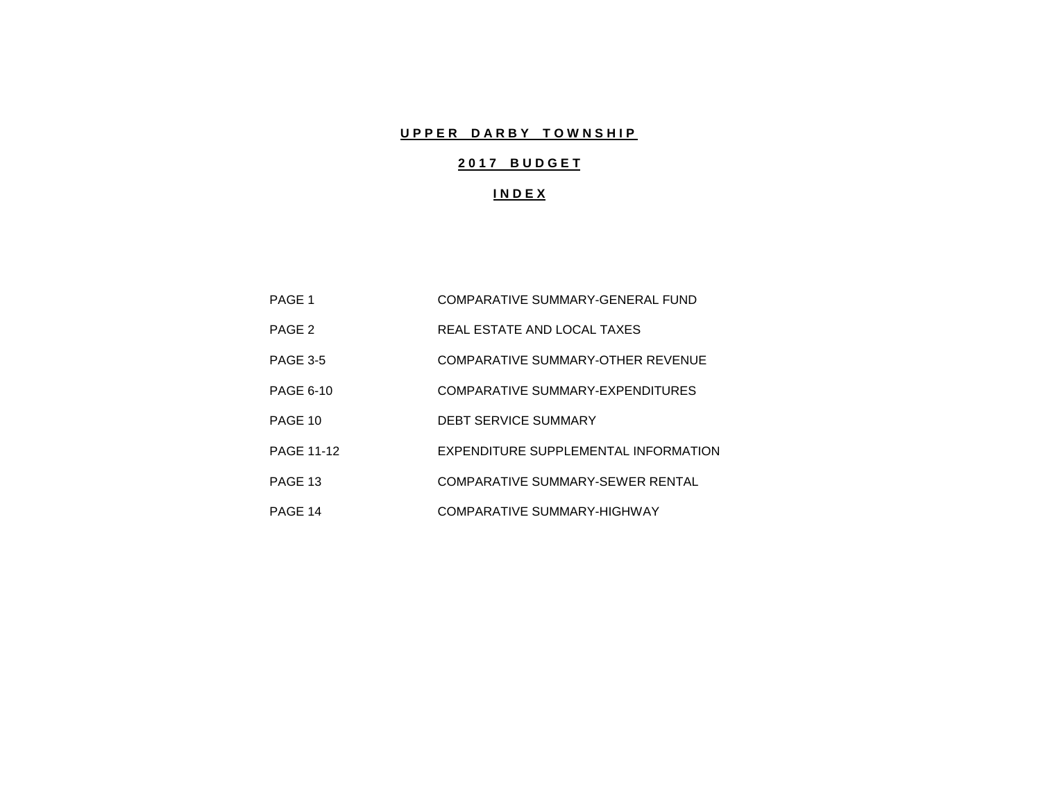# **UPPER DARBY TOWNSHIP**

# **2 0 1 7 B U D G E T**

## **I N D E X**

| PAGE 1            | COMPARATIVE SUMMARY-GENERAL FUND     |
|-------------------|--------------------------------------|
| PAGE 2            | REAL ESTATE AND LOCAL TAXES          |
| <b>PAGE 3-5</b>   | COMPARATIVE SUMMARY-OTHER REVENUE    |
| <b>PAGE 6-10</b>  | COMPARATIVE SUMMARY-EXPENDITURES     |
| PAGE 10           | <b>DEBT SERVICE SUMMARY</b>          |
| <b>PAGE 11-12</b> | EXPENDITURE SUPPLEMENTAL INFORMATION |
| PAGE 13           | COMPARATIVE SUMMARY-SEWER RENTAL     |
| PAGE 14           | COMPARATIVE SUMMARY-HIGHWAY          |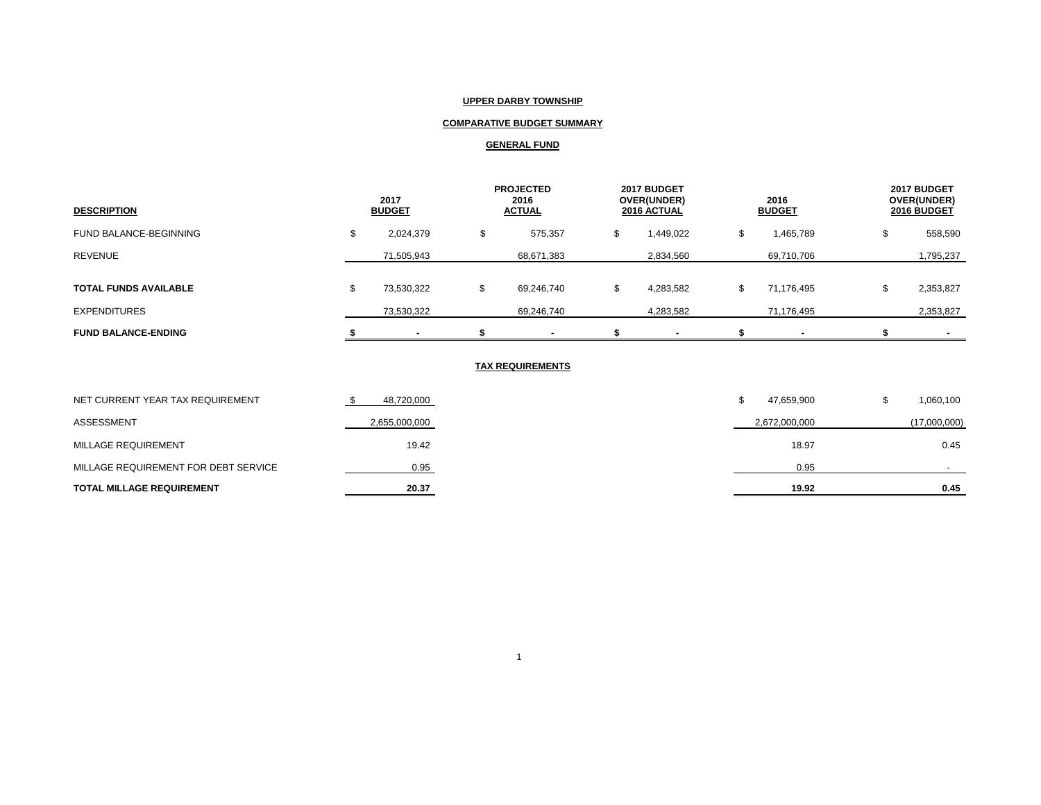### **UPPER DARBY TOWNSHIP**

## **COMPARATIVE BUDGET SUMMARY**

### **GENERAL FUND**

| <b>DESCRIPTION</b>           | 2017<br><b>BUDGET</b> |            | <b>PROJECTED</b><br>2016<br><b>ACTUAL</b> |        | 2017 BUDGET<br>OVER(UNDER)<br>2016 ACTUAL |    | 2016<br><b>BUDGET</b> |  | 2017 BUDGET<br>OVER(UNDER)<br>2016 BUDGET |
|------------------------------|-----------------------|------------|-------------------------------------------|--------|-------------------------------------------|----|-----------------------|--|-------------------------------------------|
| FUND BALANCE-BEGINNING       |                       | 2,024,379  | \$<br>575,357                             | ₼<br>ъ | 1,449,022                                 | ה. | 1,465,789             |  | 558,590                                   |
| <b>REVENUE</b>               |                       | 71,505,943 | 68,671,383                                |        | 2,834,560                                 |    | 69,710,706            |  | 1,795,237                                 |
| <b>TOTAL FUNDS AVAILABLE</b> | £.                    | 73,530,322 | \$<br>69,246,740                          | ъ      | 4,283,582                                 | £. | 71,176,495            |  | 2,353,827                                 |
| <b>EXPENDITURES</b>          |                       | 73,530,322 | 69,246,740                                |        | 4,283,582                                 |    | 71,176,495            |  | 2,353,827                                 |
| <b>FUND BALANCE-ENDING</b>   |                       |            |                                           |        |                                           |    |                       |  | $\sim$                                    |

#### **TAX REQUIREMENTS**

| NET CURRENT YEAR TAX REQUIREMENT     | 48,720,000    | 47,659,900    | 1,060,100    |
|--------------------------------------|---------------|---------------|--------------|
| ASSESSMENT                           | 2,655,000,000 | 2,672,000,000 | (17,000,000) |
| MILLAGE REQUIREMENT                  | 19.42         | 18.97         | 0.45         |
| MILLAGE REQUIREMENT FOR DEBT SERVICE | 0.95          | 0.95          |              |
| <b>TOTAL MILLAGE REQUIREMENT</b>     | 20.37         | 19.92         | 0.45         |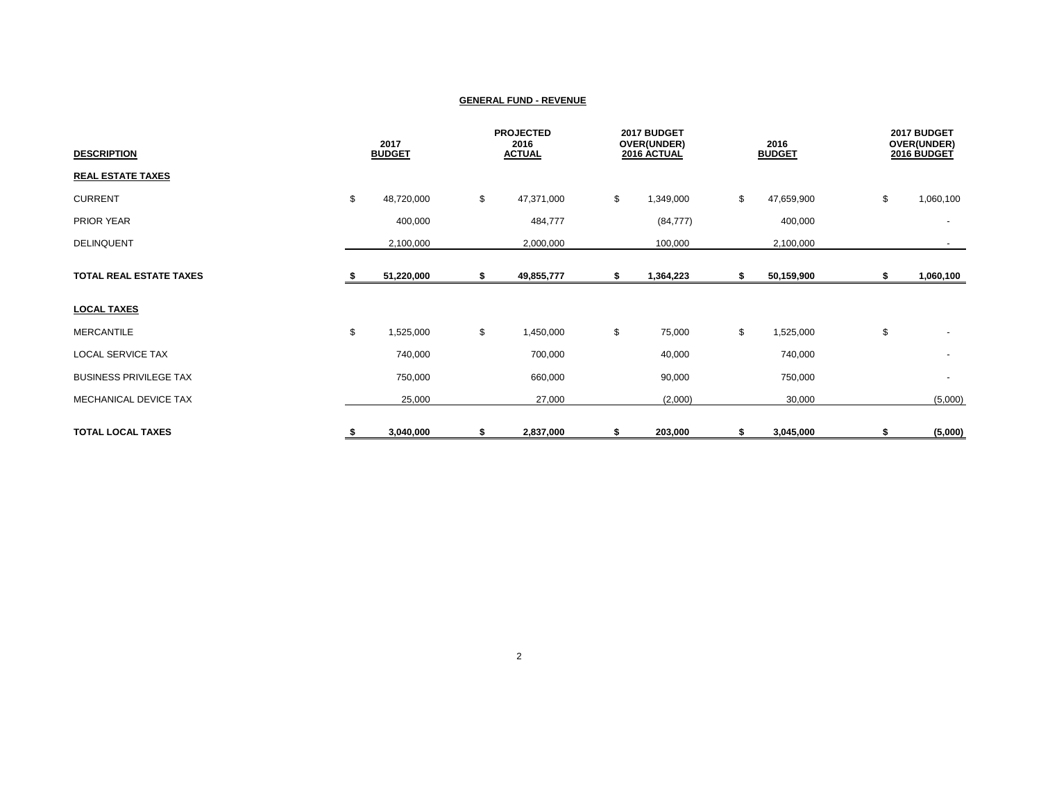| <b>DESCRIPTION</b>             | 2017<br><b>BUDGET</b> |            | <b>PROJECTED</b><br>2016<br><b>ACTUAL</b> |    | 2017 BUDGET<br>OVER(UNDER)<br>2016 ACTUAL |    | 2016<br><b>BUDGET</b> |    | 2017 BUDGET<br>OVER(UNDER)<br>2016 BUDGET |  |
|--------------------------------|-----------------------|------------|-------------------------------------------|----|-------------------------------------------|----|-----------------------|----|-------------------------------------------|--|
| <b>REAL ESTATE TAXES</b>       |                       |            |                                           |    |                                           |    |                       |    |                                           |  |
| <b>CURRENT</b>                 | \$                    | 48,720,000 | \$<br>47,371,000                          | \$ | 1,349,000                                 | \$ | 47,659,900            | \$ | 1,060,100                                 |  |
| PRIOR YEAR                     |                       | 400,000    | 484,777                                   |    | (84, 777)                                 |    | 400,000               |    | $\overline{\phantom{a}}$                  |  |
| <b>DELINQUENT</b>              |                       | 2,100,000  | 2,000,000                                 |    | 100,000                                   |    | 2,100,000             |    |                                           |  |
| <b>TOTAL REAL ESTATE TAXES</b> |                       | 51,220,000 | \$<br>49,855,777                          | S  | 1,364,223                                 | \$ | 50,159,900            | \$ | 1,060,100                                 |  |
| <b>LOCAL TAXES</b>             |                       |            |                                           |    |                                           |    |                       |    |                                           |  |
| <b>MERCANTILE</b>              | \$                    | 1,525,000  | \$<br>1,450,000                           | \$ | 75,000                                    | \$ | 1,525,000             | \$ | $\overline{\phantom{a}}$                  |  |
| <b>LOCAL SERVICE TAX</b>       |                       | 740,000    | 700,000                                   |    | 40,000                                    |    | 740,000               |    | $\overline{\phantom{a}}$                  |  |
| <b>BUSINESS PRIVILEGE TAX</b>  |                       | 750,000    | 660,000                                   |    | 90,000                                    |    | 750,000               |    | $\overline{\phantom{a}}$                  |  |
| MECHANICAL DEVICE TAX          |                       | 25,000     | 27,000                                    |    | (2,000)                                   |    | 30,000                |    | (5,000)                                   |  |
| <b>TOTAL LOCAL TAXES</b>       | S,                    | 3,040,000  | \$<br>2,837,000                           | S  | 203,000                                   | S. | 3,045,000             | S  | (5,000)                                   |  |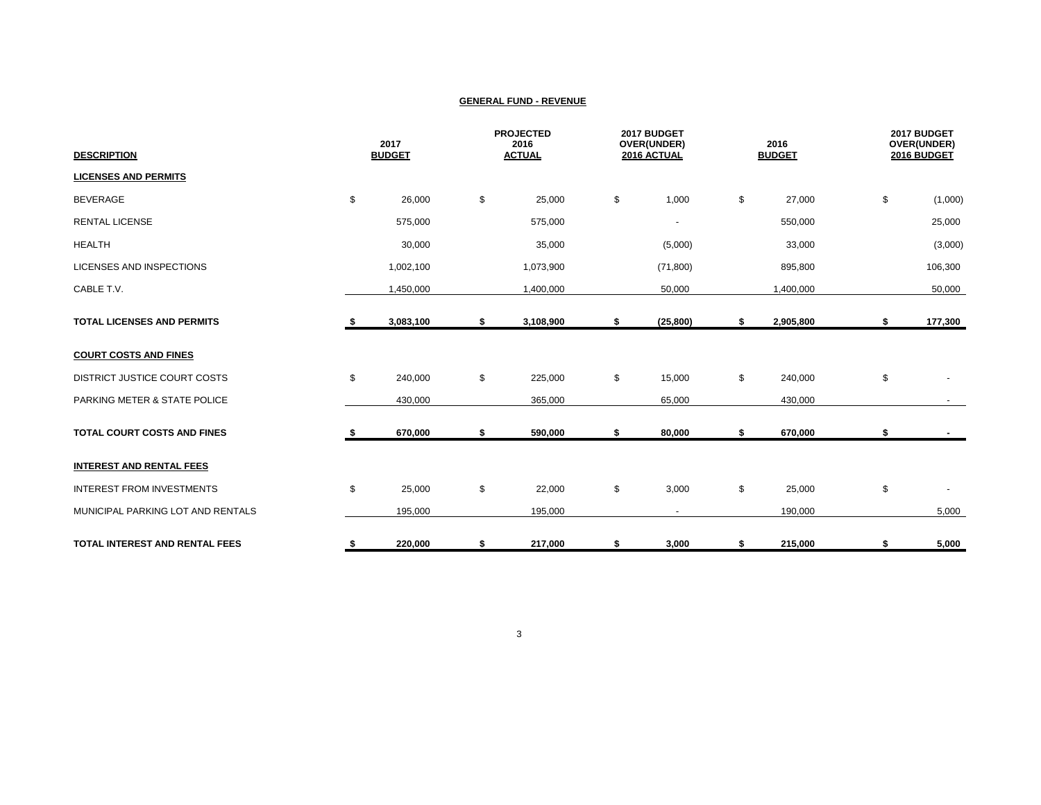| <b>DESCRIPTION</b>                    |    | 2017<br><b>BUDGET</b> |    | <b>PROJECTED</b><br>2016<br><b>ACTUAL</b> |    | 2017 BUDGET<br>OVER(UNDER)<br>2016 ACTUAL |    | 2016<br><b>BUDGET</b> | 2017 BUDGET<br>OVER(UNDER)<br>2016 BUDGET |         |
|---------------------------------------|----|-----------------------|----|-------------------------------------------|----|-------------------------------------------|----|-----------------------|-------------------------------------------|---------|
| <b>LICENSES AND PERMITS</b>           |    |                       |    |                                           |    |                                           |    |                       |                                           |         |
| <b>BEVERAGE</b>                       | \$ | 26,000                | \$ | 25,000                                    | \$ | 1,000                                     | \$ | 27,000                | \$                                        | (1,000) |
| <b>RENTAL LICENSE</b>                 |    | 575,000               |    | 575,000                                   |    | $\overline{\phantom{a}}$                  |    | 550,000               |                                           | 25,000  |
| <b>HEALTH</b>                         |    | 30,000                |    | 35,000                                    |    | (5,000)                                   |    | 33,000                |                                           | (3,000) |
| LICENSES AND INSPECTIONS              |    | 1,002,100             |    | 1,073,900                                 |    | (71, 800)                                 |    | 895,800               |                                           | 106,300 |
| CABLE T.V.                            |    | 1,450,000             |    | 1,400,000                                 |    | 50,000                                    |    | 1,400,000             |                                           | 50,000  |
| <b>TOTAL LICENSES AND PERMITS</b>     | s. | 3,083,100             | \$ | 3,108,900                                 | \$ | (25, 800)                                 | \$ | 2,905,800             | \$                                        | 177,300 |
| <b>COURT COSTS AND FINES</b>          |    |                       |    |                                           |    |                                           |    |                       |                                           |         |
| DISTRICT JUSTICE COURT COSTS          | \$ | 240,000               | \$ | 225,000                                   | \$ | 15,000                                    | \$ | 240,000               | \$                                        |         |
| PARKING METER & STATE POLICE          |    | 430,000               |    | 365,000                                   |    | 65,000                                    |    | 430,000               |                                           |         |
| <b>TOTAL COURT COSTS AND FINES</b>    |    | 670,000               | \$ | 590,000                                   | \$ | 80,000                                    | \$ | 670,000               | \$                                        |         |
| <b>INTEREST AND RENTAL FEES</b>       |    |                       |    |                                           |    |                                           |    |                       |                                           |         |
| <b>INTEREST FROM INVESTMENTS</b>      | \$ | 25,000                | \$ | 22,000                                    | \$ | 3,000                                     | \$ | 25,000                | \$                                        |         |
| MUNICIPAL PARKING LOT AND RENTALS     |    | 195,000               |    | 195,000                                   |    | $\overline{\phantom{a}}$                  |    | 190,000               |                                           | 5,000   |
| <b>TOTAL INTEREST AND RENTAL FEES</b> | \$ | 220,000               | \$ | 217,000                                   | \$ | 3,000                                     | \$ | 215,000               | \$                                        | 5,000   |

3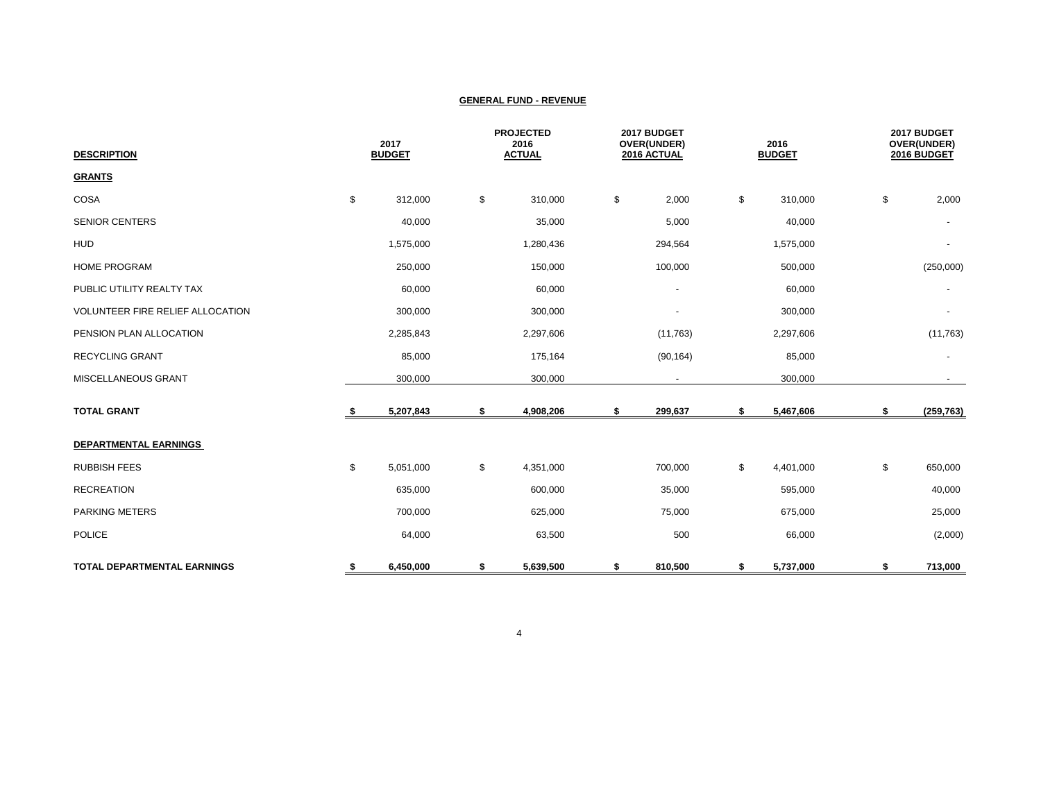| <b>DESCRIPTION</b>                 | 2017<br><b>BUDGET</b> |    | <b>PROJECTED</b><br>2016<br><b>ACTUAL</b> |    | 2017 BUDGET<br>OVER(UNDER)<br>2016 ACTUAL |    | 2016<br><b>BUDGET</b> |    | 2017 BUDGET<br>OVER(UNDER)<br>2016 BUDGET |  |
|------------------------------------|-----------------------|----|-------------------------------------------|----|-------------------------------------------|----|-----------------------|----|-------------------------------------------|--|
| <b>GRANTS</b>                      |                       |    |                                           |    |                                           |    |                       |    |                                           |  |
| COSA                               | \$<br>312,000         | \$ | 310,000                                   | \$ | 2,000                                     | \$ | 310,000               | \$ | 2,000                                     |  |
| <b>SENIOR CENTERS</b>              | 40,000                |    | 35,000                                    |    | 5,000                                     |    | 40,000                |    |                                           |  |
| <b>HUD</b>                         | 1,575,000             |    | 1,280,436                                 |    | 294,564                                   |    | 1,575,000             |    | $\overline{\phantom{a}}$                  |  |
| <b>HOME PROGRAM</b>                | 250,000               |    | 150,000                                   |    | 100,000                                   |    | 500,000               |    | (250,000)                                 |  |
| PUBLIC UTILITY REALTY TAX          | 60,000                |    | 60,000                                    |    | $\overline{\phantom{a}}$                  |    | 60,000                |    |                                           |  |
| VOLUNTEER FIRE RELIEF ALLOCATION   | 300,000               |    | 300,000                                   |    | $\overline{\phantom{a}}$                  |    | 300,000               |    | $\overline{\phantom{a}}$                  |  |
| PENSION PLAN ALLOCATION            | 2,285,843             |    | 2,297,606                                 |    | (11,763)                                  |    | 2,297,606             |    | (11, 763)                                 |  |
| <b>RECYCLING GRANT</b>             | 85,000                |    | 175,164                                   |    | (90, 164)                                 |    | 85,000                |    |                                           |  |
| MISCELLANEOUS GRANT                | 300,000               |    | 300,000                                   |    |                                           |    | 300,000               |    |                                           |  |
| <b>TOTAL GRANT</b>                 | \$<br>5,207,843       | \$ | 4,908,206                                 | \$ | 299,637                                   | \$ | 5,467,606             | \$ | (259, 763)                                |  |
| <b>DEPARTMENTAL EARNINGS</b>       |                       |    |                                           |    |                                           |    |                       |    |                                           |  |
| <b>RUBBISH FEES</b>                | \$<br>5,051,000       | \$ | 4,351,000                                 |    | 700,000                                   | \$ | 4,401,000             | \$ | 650,000                                   |  |
| <b>RECREATION</b>                  | 635,000               |    | 600,000                                   |    | 35,000                                    |    | 595,000               |    | 40,000                                    |  |
| <b>PARKING METERS</b>              | 700,000               |    | 625,000                                   |    | 75,000                                    |    | 675,000               |    | 25,000                                    |  |
| <b>POLICE</b>                      | 64,000                |    | 63,500                                    |    | 500                                       |    | 66,000                |    | (2,000)                                   |  |
| <b>TOTAL DEPARTMENTAL EARNINGS</b> | \$<br>6,450,000       | \$ | 5,639,500                                 | \$ | 810,500                                   | \$ | 5,737,000             | \$ | 713,000                                   |  |

4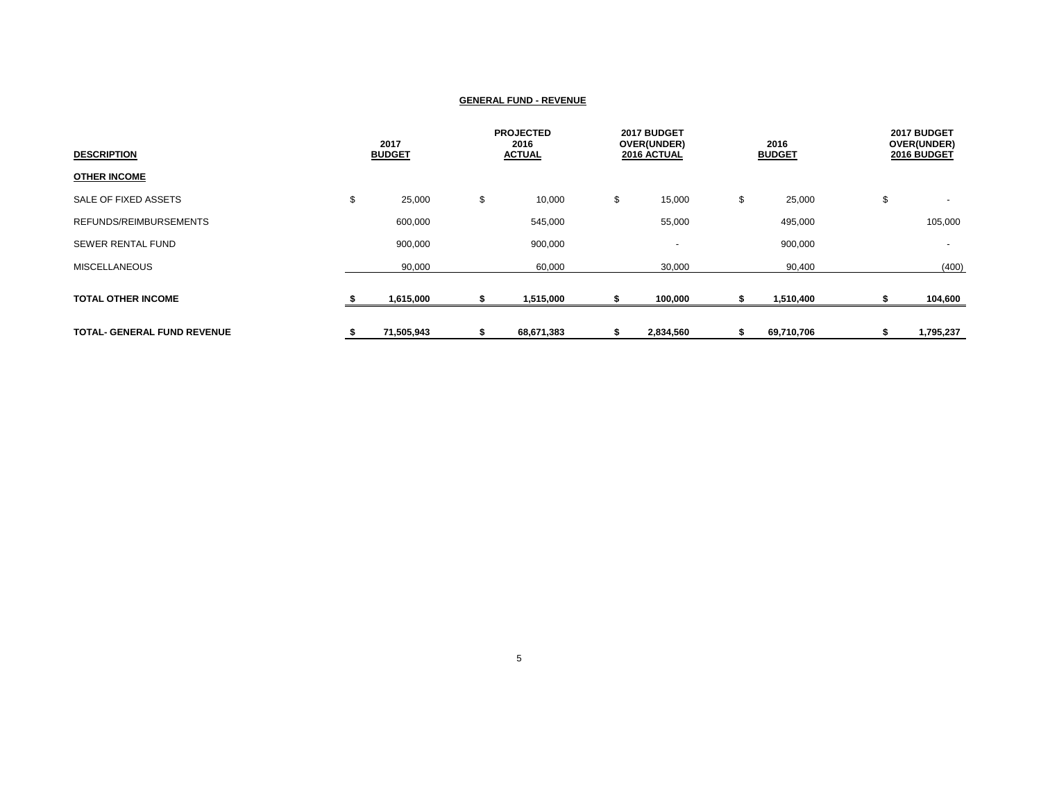| <b>DESCRIPTION</b>                 | 2017<br><b>BUDGET</b> |    | <b>PROJECTED</b><br>2016<br><b>ACTUAL</b> |    | 2017 BUDGET<br>OVER(UNDER)<br>2016 ACTUAL |    | 2016<br><b>BUDGET</b> |    | 2017 BUDGET<br>OVER(UNDER)<br>2016 BUDGET |
|------------------------------------|-----------------------|----|-------------------------------------------|----|-------------------------------------------|----|-----------------------|----|-------------------------------------------|
| <b>OTHER INCOME</b>                |                       |    |                                           |    |                                           |    |                       |    |                                           |
| SALE OF FIXED ASSETS               | \$<br>25,000          | \$ | 10,000                                    | \$ | 15,000                                    | \$ | 25,000                | \$ |                                           |
| REFUNDS/REIMBURSEMENTS             | 600,000               |    | 545,000                                   |    | 55,000                                    |    | 495,000               |    | 105,000                                   |
| <b>SEWER RENTAL FUND</b>           | 900,000               |    | 900,000                                   |    | $\overline{\phantom{a}}$                  |    | 900,000               |    | $\overline{\phantom{a}}$                  |
| <b>MISCELLANEOUS</b>               | 90,000                |    | 60,000                                    |    | 30,000                                    |    | 90,400                |    | (400)                                     |
| <b>TOTAL OTHER INCOME</b>          | 1,615,000             |    | 1,515,000                                 |    | 100,000                                   |    | 1,510,400             |    | 104,600                                   |
| <b>TOTAL- GENERAL FUND REVENUE</b> | 71,505,943            | ъ  | 68,671,383                                |    | 2,834,560                                 | ъ  | 69,710,706            |    | 1,795,237                                 |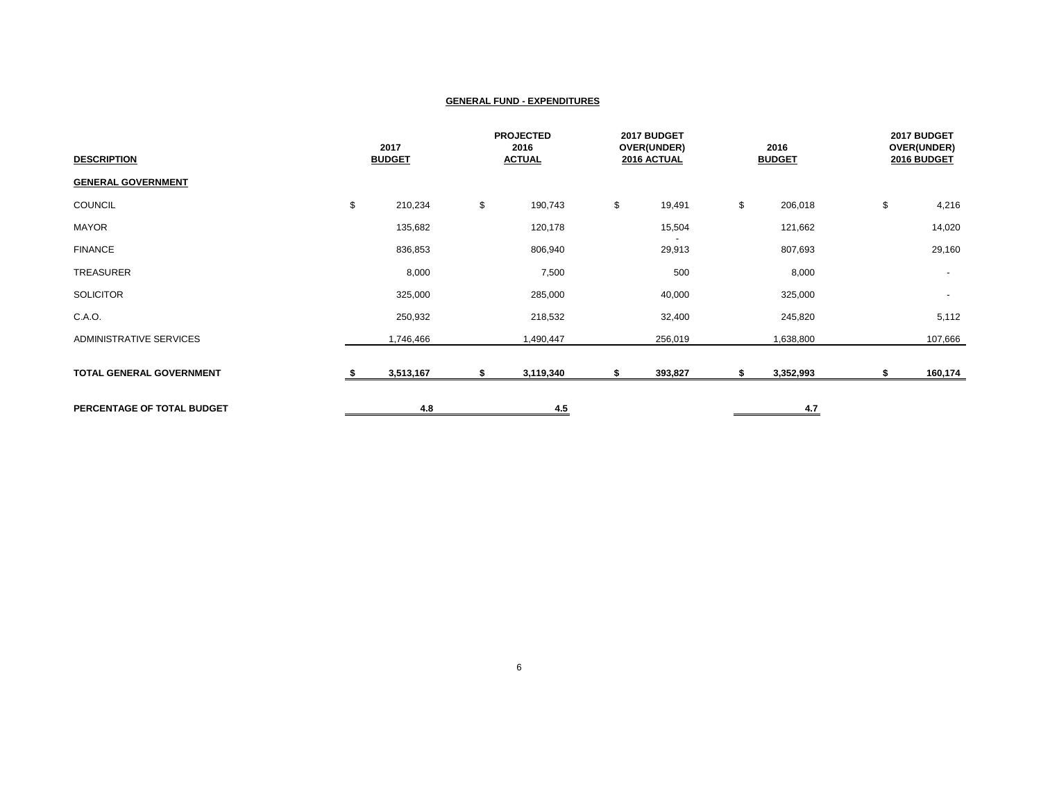| <b>DESCRIPTION</b>              | 2017<br><b>BUDGET</b> |    | <b>PROJECTED</b><br>2016<br><b>ACTUAL</b> |    | 2017 BUDGET<br>OVER(UNDER)<br>2016 ACTUAL |    | 2016<br><b>BUDGET</b> | 2017 BUDGET<br>OVER(UNDER)<br>2016 BUDGET |         |
|---------------------------------|-----------------------|----|-------------------------------------------|----|-------------------------------------------|----|-----------------------|-------------------------------------------|---------|
| <b>GENERAL GOVERNMENT</b>       |                       |    |                                           |    |                                           |    |                       |                                           |         |
| COUNCIL                         | \$<br>210,234         | \$ | 190,743                                   | \$ | 19,491                                    | \$ | 206,018               | \$                                        | 4,216   |
| MAYOR                           | 135,682               |    | 120,178                                   |    | 15,504                                    |    | 121,662               |                                           | 14,020  |
| <b>FINANCE</b>                  | 836,853               |    | 806,940                                   |    | 29,913                                    |    | 807,693               |                                           | 29,160  |
| <b>TREASURER</b>                | 8,000                 |    | 7,500                                     |    | 500                                       |    | 8,000                 |                                           | $\sim$  |
| <b>SOLICITOR</b>                | 325,000               |    | 285,000                                   |    | 40,000                                    |    | 325,000               |                                           | $\sim$  |
| C.A.O.                          | 250,932               |    | 218,532                                   |    | 32,400                                    |    | 245,820               |                                           | 5,112   |
| ADMINISTRATIVE SERVICES         | 1,746,466             |    | 1,490,447                                 |    | 256,019                                   |    | 1,638,800             |                                           | 107,666 |
| <b>TOTAL GENERAL GOVERNMENT</b> | 3,513,167             | \$ | 3,119,340                                 | S. | 393,827                                   | S  | 3,352,993             | 5                                         | 160,174 |
| PERCENTAGE OF TOTAL BUDGET      | 4.8                   |    | 4.5                                       |    |                                           |    | 4.7                   |                                           |         |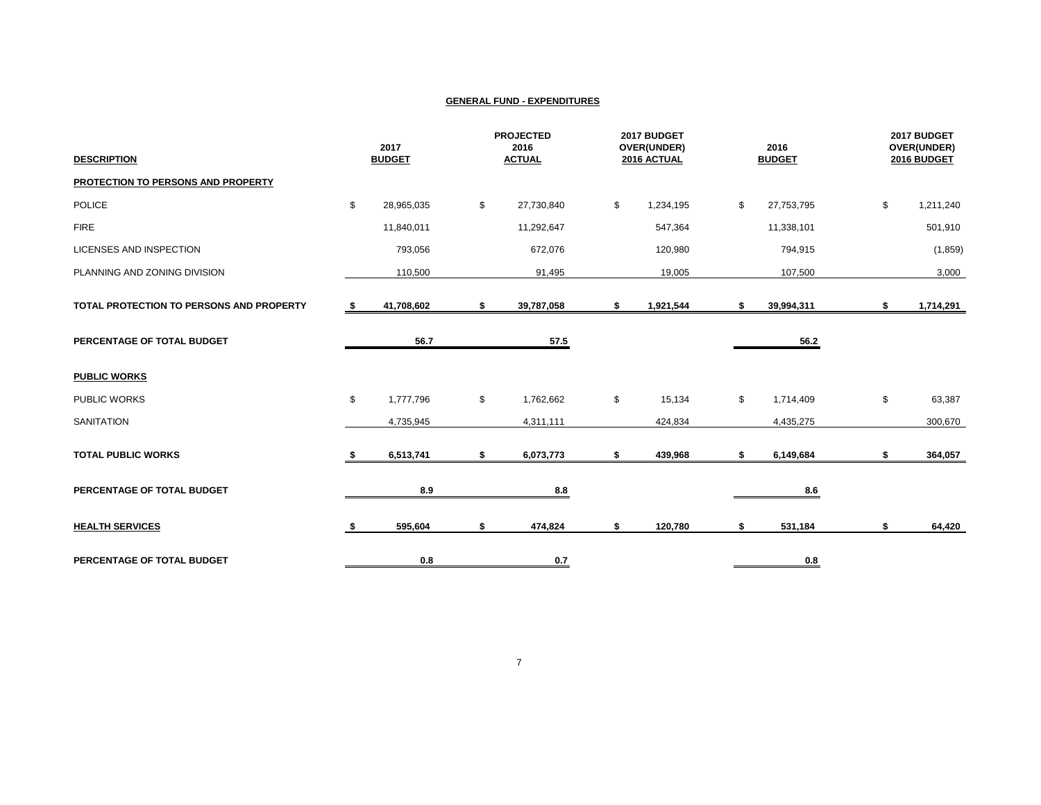| <b>DESCRIPTION</b>                       |     | 2017<br><b>BUDGET</b> | <b>PROJECTED</b><br>2016<br><b>ACTUAL</b> | 2017 BUDGET<br>OVER(UNDER)<br>2016 ACTUAL | 2016<br><b>BUDGET</b> | 2017 BUDGET<br>OVER(UNDER)<br>2016 BUDGET |
|------------------------------------------|-----|-----------------------|-------------------------------------------|-------------------------------------------|-----------------------|-------------------------------------------|
| PROTECTION TO PERSONS AND PROPERTY       |     |                       |                                           |                                           |                       |                                           |
| <b>POLICE</b>                            | \$  | 28,965,035            | \$<br>27,730,840                          | \$<br>1,234,195                           | \$<br>27,753,795      | \$<br>1,211,240                           |
| <b>FIRE</b>                              |     | 11,840,011            | 11,292,647                                | 547,364                                   | 11,338,101            | 501,910                                   |
| <b>LICENSES AND INSPECTION</b>           |     | 793,056               | 672,076                                   | 120,980                                   | 794,915               | (1, 859)                                  |
| PLANNING AND ZONING DIVISION             |     | 110,500               | 91,495                                    | 19,005                                    | 107,500               | 3,000                                     |
| TOTAL PROTECTION TO PERSONS AND PROPERTY | - 5 | 41,708,602            | \$<br>39,787,058                          | \$<br>1,921,544                           | \$<br>39,994,311      | \$<br>1,714,291                           |
| PERCENTAGE OF TOTAL BUDGET               |     | 56.7                  | 57.5                                      |                                           | 56.2                  |                                           |
| <b>PUBLIC WORKS</b>                      |     |                       |                                           |                                           |                       |                                           |
| PUBLIC WORKS                             | \$  | 1,777,796             | \$<br>1,762,662                           | \$<br>15,134                              | \$<br>1,714,409       | \$<br>63,387                              |
| <b>SANITATION</b>                        |     | 4,735,945             | 4,311,111                                 | 424,834                                   | 4,435,275             | 300,670                                   |
| <b>TOTAL PUBLIC WORKS</b>                |     | 6,513,741             | \$<br>6,073,773                           | \$<br>439,968                             | \$<br>6,149,684       | \$<br>364,057                             |
| PERCENTAGE OF TOTAL BUDGET               |     | 8.9                   | 8.8                                       |                                           | 8.6                   |                                           |
| <b>HEALTH SERVICES</b>                   | s.  | 595,604               | \$<br>474,824                             | \$<br>120,780                             | \$<br>531,184         | \$<br>64,420                              |
| PERCENTAGE OF TOTAL BUDGET               |     | 0.8                   | 0.7                                       |                                           | 0.8                   |                                           |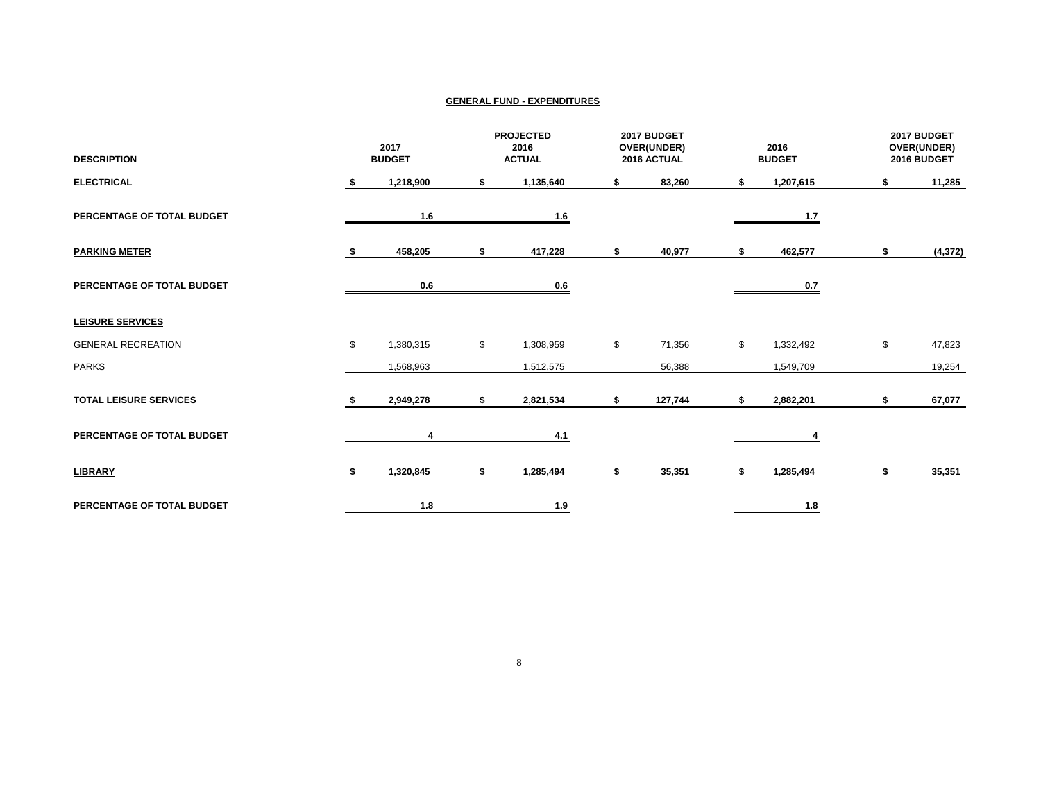| <b>DESCRIPTION</b>            | 2017<br><b>BUDGET</b> |           | <b>PROJECTED</b><br>2016<br><b>ACTUAL</b> |                            | 2017 BUDGET<br>OVER(UNDER)<br>2016 ACTUAL |         | 2016<br><b>BUDGET</b> |                            | 2017 BUDGET<br>OVER(UNDER)<br>2016 BUDGET |          |
|-------------------------------|-----------------------|-----------|-------------------------------------------|----------------------------|-------------------------------------------|---------|-----------------------|----------------------------|-------------------------------------------|----------|
| <b>ELECTRICAL</b>             |                       | 1,218,900 | \$                                        | 1,135,640                  | \$                                        | 83,260  | s.                    | 1,207,615                  | s                                         | 11,285   |
| PERCENTAGE OF TOTAL BUDGET    |                       | 1.6       |                                           | $\underline{\mathbf{1.6}}$ |                                           |         |                       | $1.7$                      |                                           |          |
| <b>PARKING METER</b>          |                       | 458,205   | \$                                        | 417,228                    | \$                                        | 40,977  | \$                    | 462,577                    | \$                                        | (4, 372) |
| PERCENTAGE OF TOTAL BUDGET    |                       | 0.6       |                                           | 0.6                        |                                           |         |                       | 0.7                        |                                           |          |
| <b>LEISURE SERVICES</b>       |                       |           |                                           |                            |                                           |         |                       |                            |                                           |          |
| <b>GENERAL RECREATION</b>     | \$                    | 1,380,315 | \$                                        | 1,308,959                  | \$                                        | 71,356  | \$                    | 1,332,492                  | \$                                        | 47,823   |
| <b>PARKS</b>                  |                       | 1,568,963 |                                           | 1,512,575                  |                                           | 56,388  |                       | 1,549,709                  |                                           | 19,254   |
| <b>TOTAL LEISURE SERVICES</b> |                       | 2,949,278 | \$                                        | 2,821,534                  | \$                                        | 127,744 |                       | 2,882,201                  | \$                                        | 67,077   |
| PERCENTAGE OF TOTAL BUDGET    |                       | 4         |                                           | 4.1                        |                                           |         |                       |                            |                                           |          |
| <b>LIBRARY</b>                |                       | 1,320,845 | \$                                        | 1,285,494                  | \$                                        | 35,351  | s.                    | 1,285,494                  | \$                                        | 35,351   |
| PERCENTAGE OF TOTAL BUDGET    |                       | 1.8       |                                           | 1.9                        |                                           |         |                       | $\underline{\mathbf{1.8}}$ |                                           |          |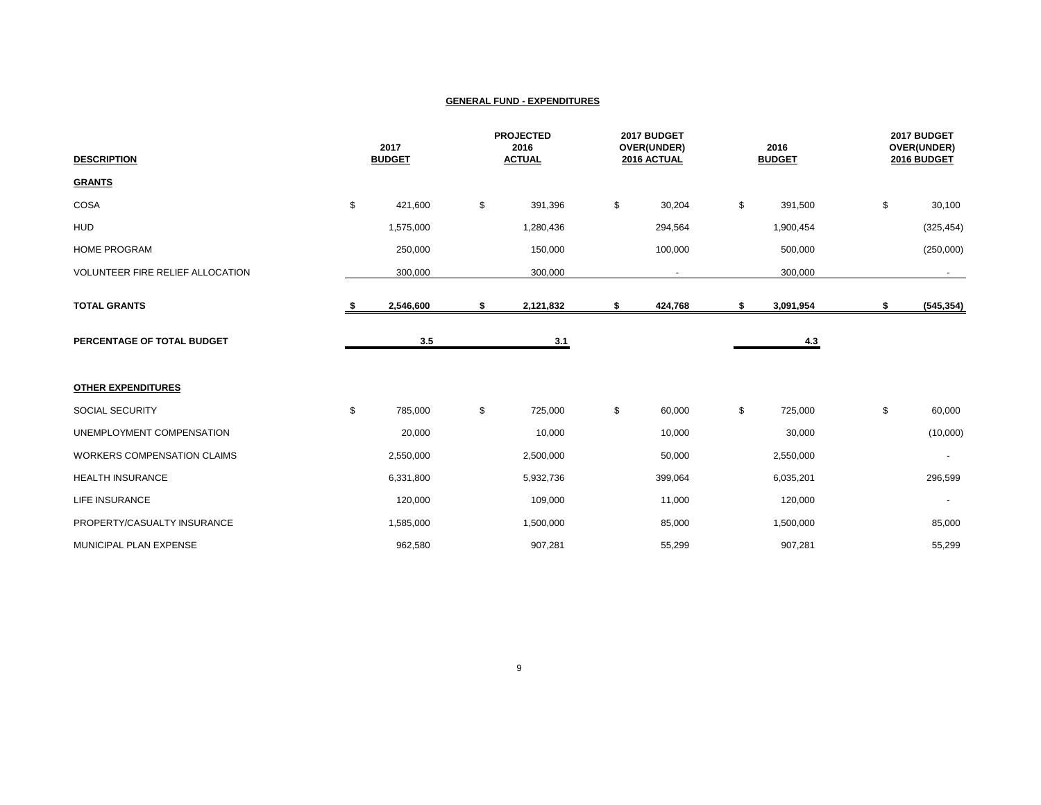| <b>DESCRIPTION</b>                 | 2017<br><b>BUDGET</b> |           | <b>PROJECTED</b><br>2016<br><b>ACTUAL</b> |    | 2017 BUDGET<br>OVER(UNDER)<br>2016 ACTUAL |    | 2016<br><b>BUDGET</b> |    | 2017 BUDGET<br>OVER(UNDER)<br>2016 BUDGET |  |
|------------------------------------|-----------------------|-----------|-------------------------------------------|----|-------------------------------------------|----|-----------------------|----|-------------------------------------------|--|
| <b>GRANTS</b>                      |                       |           |                                           |    |                                           |    |                       |    |                                           |  |
| COSA                               | \$                    | 421,600   | \$<br>391,396                             | \$ | 30,204                                    | \$ | 391,500               | \$ | 30,100                                    |  |
| <b>HUD</b>                         |                       | 1,575,000 | 1,280,436                                 |    | 294,564                                   |    | 1,900,454             |    | (325, 454)                                |  |
| <b>HOME PROGRAM</b>                |                       | 250,000   | 150,000                                   |    | 100,000                                   |    | 500,000               |    | (250,000)                                 |  |
| VOLUNTEER FIRE RELIEF ALLOCATION   |                       | 300,000   | 300,000                                   |    | $\sim$                                    |    | 300,000               |    | $\sim$                                    |  |
| <b>TOTAL GRANTS</b>                | S                     | 2,546,600 | \$<br>2,121,832                           | \$ | 424,768                                   | \$ | 3,091,954             | \$ | (545, 354)                                |  |
| PERCENTAGE OF TOTAL BUDGET         |                       | 3.5       | 3.1                                       |    |                                           |    | 4.3                   |    |                                           |  |
| <b>OTHER EXPENDITURES</b>          |                       |           |                                           |    |                                           |    |                       |    |                                           |  |
| SOCIAL SECURITY                    | \$                    | 785,000   | \$<br>725,000                             | \$ | 60,000                                    | \$ | 725,000               | \$ | 60,000                                    |  |
| UNEMPLOYMENT COMPENSATION          |                       | 20,000    | 10,000                                    |    | 10,000                                    |    | 30,000                |    | (10,000)                                  |  |
| <b>WORKERS COMPENSATION CLAIMS</b> |                       | 2,550,000 | 2,500,000                                 |    | 50,000                                    |    | 2,550,000             |    | $\blacksquare$                            |  |
| <b>HEALTH INSURANCE</b>            |                       | 6,331,800 | 5,932,736                                 |    | 399,064                                   |    | 6,035,201             |    | 296,599                                   |  |
| LIFE INSURANCE                     |                       | 120,000   | 109,000                                   |    | 11,000                                    |    | 120,000               |    | $\overline{\phantom{a}}$                  |  |
| PROPERTY/CASUALTY INSURANCE        |                       | 1,585,000 | 1,500,000                                 |    | 85,000                                    |    | 1,500,000             |    | 85,000                                    |  |
| MUNICIPAL PLAN EXPENSE             |                       | 962,580   | 907,281                                   |    | 55,299                                    |    | 907,281               |    | 55,299                                    |  |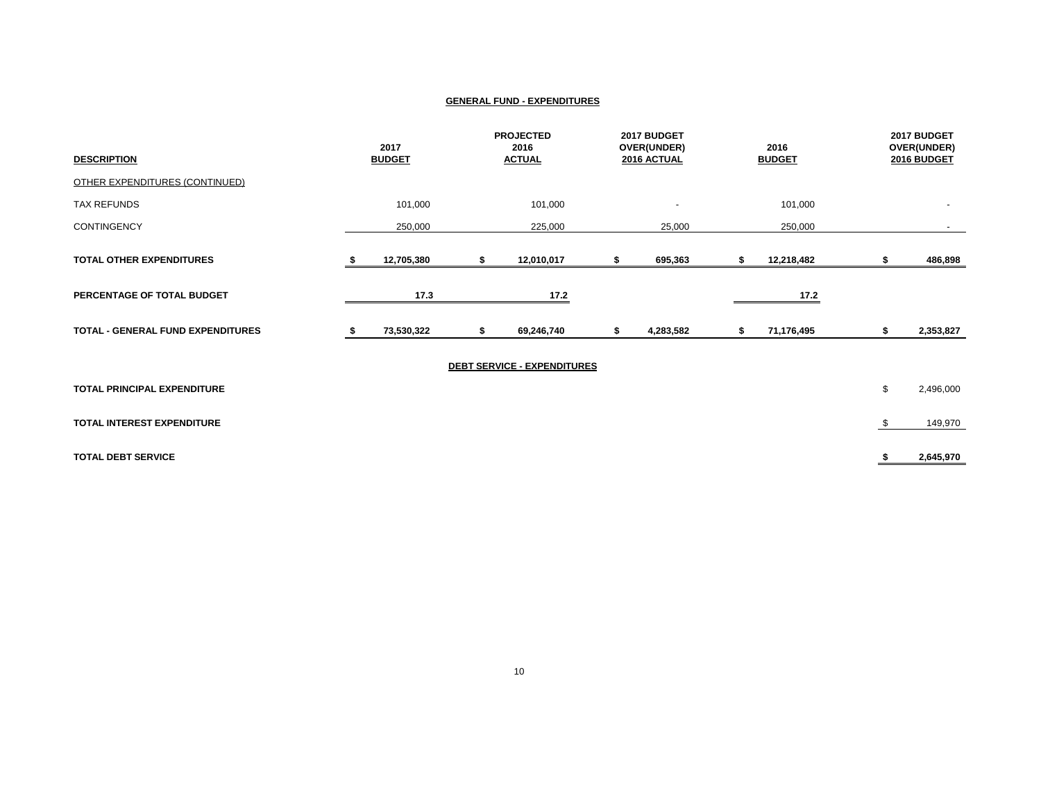| <b>DESCRIPTION</b>                       |    | 2017<br><b>BUDGET</b> | <b>PROJECTED</b><br>2016<br><b>ACTUAL</b> | 2017 BUDGET<br>OVER(UNDER)<br>2016 ACTUAL |   | 2016<br><b>BUDGET</b> | 2017 BUDGET<br>OVER(UNDER)<br>2016 BUDGET |
|------------------------------------------|----|-----------------------|-------------------------------------------|-------------------------------------------|---|-----------------------|-------------------------------------------|
| <b>OTHER EXPENDITURES (CONTINUED)</b>    |    |                       |                                           |                                           |   |                       |                                           |
| TAX REFUNDS                              |    | 101,000               | 101,000                                   | $\overline{\phantom{a}}$                  |   | 101,000               | $\overline{\phantom{a}}$                  |
| <b>CONTINGENCY</b>                       |    | 250,000               | 225,000                                   | 25,000                                    |   | 250,000               |                                           |
| <b>TOTAL OTHER EXPENDITURES</b>          | ъ. | 12,705,380            | \$<br>12,010,017                          | 695,363                                   | S | 12,218,482            | 486,898                                   |
| PERCENTAGE OF TOTAL BUDGET               |    | 17.3                  | 17.2                                      |                                           |   | 17.2                  |                                           |
| <b>TOTAL - GENERAL FUND EXPENDITURES</b> |    | 73,530,322            | \$<br>69,246,740                          | 4,283,582                                 | S | 71,176,495            | \$<br>2,353,827                           |
|                                          |    |                       | <b>DEBT SERVICE - EXPENDITURES</b>        |                                           |   |                       |                                           |
| TOTAL PRINCIPAL EXPENDITURE              |    |                       |                                           |                                           |   |                       | \$<br>2,496,000                           |
| TOTAL INTEREST EXPENDITURE               |    |                       |                                           |                                           |   |                       | \$<br>149,970                             |
| <b>TOTAL DEBT SERVICE</b>                |    |                       |                                           |                                           |   |                       | 2,645,970                                 |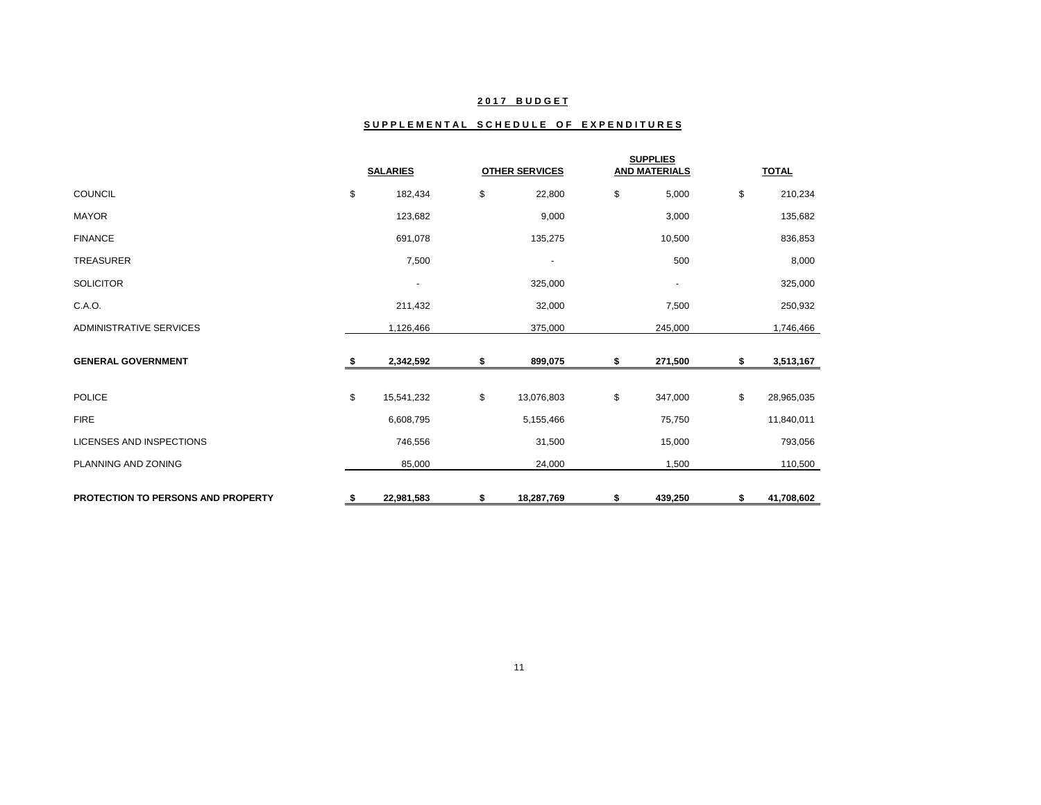## **2 0 1 7 B U D G E T**

## SUPPLEMENTAL SCHEDULE OF EXPENDITURES

|                                           | <b>SALARIES</b> |                          |    | <b>OTHER SERVICES</b>    |    | <b>SUPPLIES</b><br><b>AND MATERIALS</b> |    | <b>TOTAL</b> |
|-------------------------------------------|-----------------|--------------------------|----|--------------------------|----|-----------------------------------------|----|--------------|
| <b>COUNCIL</b>                            | \$              | 182,434                  | \$ | 22,800                   | \$ | 5,000                                   | \$ | 210,234      |
| <b>MAYOR</b>                              |                 | 123,682                  |    | 9,000                    |    | 3,000                                   |    | 135,682      |
| <b>FINANCE</b>                            |                 | 691,078                  |    | 135,275                  |    | 10,500                                  |    | 836,853      |
| <b>TREASURER</b>                          |                 | 7,500                    |    | $\overline{\phantom{a}}$ |    | 500                                     |    | 8,000        |
| <b>SOLICITOR</b>                          |                 | $\overline{\phantom{a}}$ |    | 325,000                  |    | $\overline{\phantom{a}}$                |    | 325,000      |
| C.A.O.                                    |                 | 211,432                  |    | 32,000                   |    | 7,500                                   |    | 250,932      |
| <b>ADMINISTRATIVE SERVICES</b>            |                 | 1,126,466                |    | 375,000                  |    | 245,000                                 |    | 1,746,466    |
| <b>GENERAL GOVERNMENT</b>                 |                 | 2,342,592                | S  | 899,075                  | \$ | 271,500                                 | S  | 3,513,167    |
| <b>POLICE</b>                             | \$              | 15,541,232               | \$ | 13,076,803               | \$ | 347,000                                 | \$ | 28,965,035   |
| <b>FIRE</b>                               |                 | 6,608,795                |    | 5,155,466                |    | 75,750                                  |    | 11,840,011   |
| <b>LICENSES AND INSPECTIONS</b>           |                 | 746,556                  |    | 31,500                   |    | 15,000                                  |    | 793,056      |
| PLANNING AND ZONING                       |                 | 85,000                   |    | 24,000                   |    | 1,500                                   |    | 110,500      |
| <b>PROTECTION TO PERSONS AND PROPERTY</b> | S.              | 22,981,583               | \$ | 18,287,769               | \$ | 439,250                                 | \$ | 41,708,602   |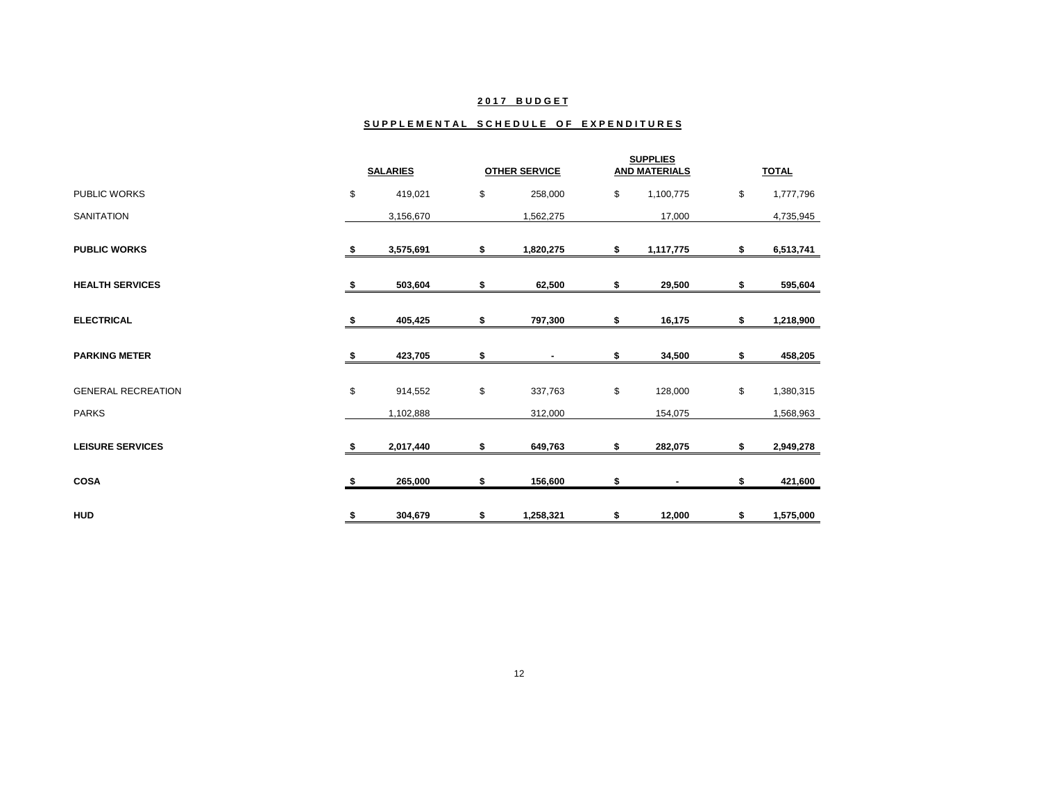### **2 0 1 7 B U D G E T**

#### SUPPLEMENTAL SCHEDULE OF EXPENDITURES

|                           |     | <b>SALARIES</b> |    | <b>OTHER SERVICE</b> | <b>SUPPLIES</b><br><b>AND MATERIALS</b> |    | <b>TOTAL</b> |
|---------------------------|-----|-----------------|----|----------------------|-----------------------------------------|----|--------------|
| PUBLIC WORKS              | \$  | 419,021         | \$ | 258,000              | \$<br>1,100,775                         | \$ | 1,777,796    |
| <b>SANITATION</b>         |     | 3,156,670       |    | 1,562,275            | 17,000                                  |    | 4,735,945    |
| <b>PUBLIC WORKS</b>       | S   | 3,575,691       | \$ | 1,820,275            | \$<br>1,117,775                         | \$ | 6,513,741    |
| <b>HEALTH SERVICES</b>    | \$  | 503,604         | \$ | 62,500               | \$<br>29,500                            | \$ | 595,604      |
| <b>ELECTRICAL</b>         | s   | 405,425         | S  | 797,300              | \$<br>16,175                            | \$ | 1,218,900    |
| <b>PARKING METER</b>      | - 5 | 423,705         | \$ |                      | \$<br>34,500                            | \$ | 458,205      |
| <b>GENERAL RECREATION</b> | \$  | 914,552         | \$ | 337,763              | \$<br>128,000                           | \$ | 1,380,315    |
| <b>PARKS</b>              |     | 1,102,888       |    | 312,000              | 154,075                                 |    | 1,568,963    |
| <b>LEISURE SERVICES</b>   | s.  | 2,017,440       | \$ | 649,763              | \$<br>282,075                           | \$ | 2,949,278    |
| <b>COSA</b>               |     | 265,000         | S  | 156,600              | \$                                      | S  | 421,600      |
| <b>HUD</b>                | \$  | 304,679         | \$ | 1,258,321            | \$<br>12,000                            | \$ | 1,575,000    |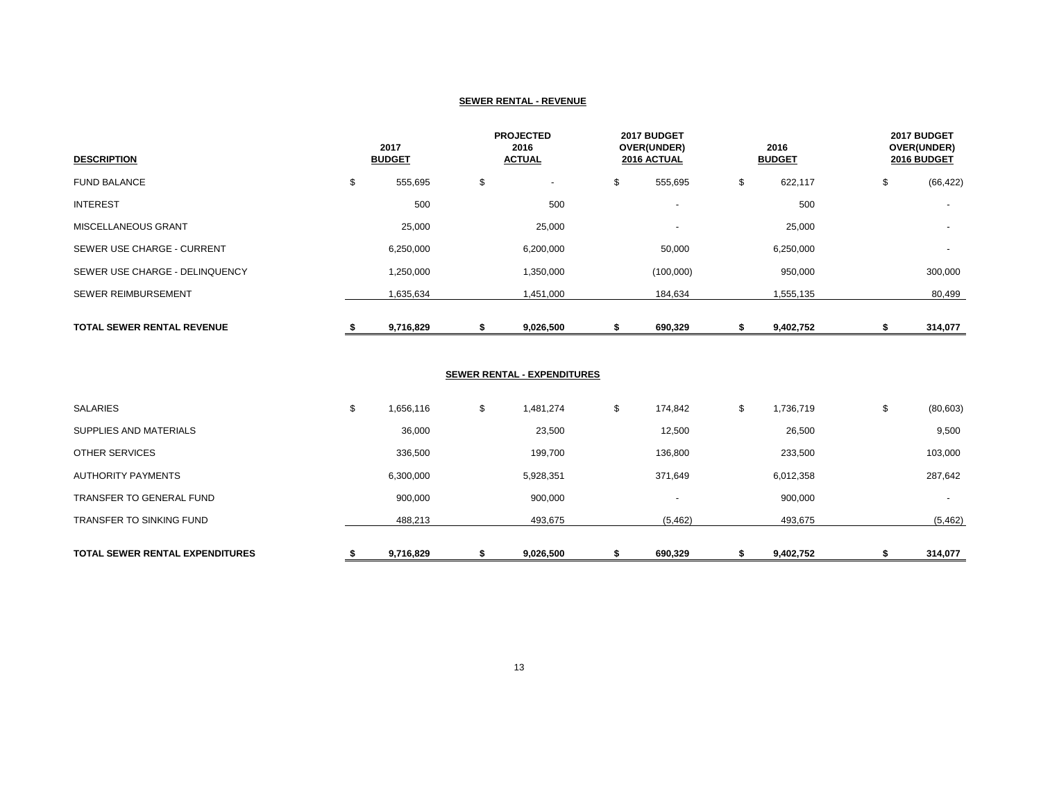#### **SEWER RENTAL - REVENUE**

| <b>DESCRIPTION</b>                | 2017<br><b>BUDGET</b> |    | <b>PROJECTED</b><br>2016<br><b>ACTUAL</b> |    | 2017 BUDGET<br>OVER(UNDER)<br>2016 ACTUAL |    | 2016<br><b>BUDGET</b> |    | 2017 BUDGET<br>OVER(UNDER)<br>2016 BUDGET |  |
|-----------------------------------|-----------------------|----|-------------------------------------------|----|-------------------------------------------|----|-----------------------|----|-------------------------------------------|--|
| <b>FUND BALANCE</b>               | \$<br>555,695         | \$ | $\overline{\phantom{a}}$                  | \$ | 555,695                                   | \$ | 622,117               | \$ | (66, 422)                                 |  |
| <b>INTEREST</b>                   | 500                   |    | 500                                       |    | $\overline{\phantom{a}}$                  |    | 500                   |    |                                           |  |
| MISCELLANEOUS GRANT               | 25,000                |    | 25,000                                    |    | $\overline{\phantom{a}}$                  |    | 25,000                |    |                                           |  |
| SEWER USE CHARGE - CURRENT        | 6,250,000             |    | 6,200,000                                 |    | 50,000                                    |    | 6,250,000             |    | $\overline{\phantom{a}}$                  |  |
| SEWER USE CHARGE - DELINQUENCY    | 1,250,000             |    | 1,350,000                                 |    | (100,000)                                 |    | 950,000               |    | 300,000                                   |  |
| <b>SEWER REIMBURSEMENT</b>        | 1,635,634             |    | 1,451,000                                 |    | 184,634                                   |    | 1,555,135             |    | 80,499                                    |  |
| <b>TOTAL SEWER RENTAL REVENUE</b> | 9,716,829             |    | 9,026,500                                 |    | 690,329                                   |    | 9,402,752             |    | 314,077                                   |  |

### **SEWER RENTAL - EXPENDITURES**

|   |           |                 |                          |                 |                                                | 314,077                  |
|---|-----------|-----------------|--------------------------|-----------------|------------------------------------------------|--------------------------|
|   | 488,213   | 493,675         | (5, 462)                 | 493,675         |                                                | (5, 462)                 |
|   | 900,000   | 900,000         | $\overline{\phantom{a}}$ | 900,000         |                                                | $\overline{\phantom{a}}$ |
|   | 6,300,000 | 5,928,351       | 371,649                  | 6,012,358       |                                                | 287,642                  |
|   | 336,500   | 199,700         | 136,800                  | 233,500         |                                                | 103,000                  |
|   | 36,000    | 23,500          | 12,500                   | 26,500          |                                                | 9,500                    |
| ъ | 1,656,116 | \$<br>1,481,274 | \$<br>174,842            | \$<br>1,736,719 | \$                                             | (80, 603)                |
|   |           |                 |                          |                 | 9,716,829<br>9,026,500<br>690,329<br>9,402,752 |                          |